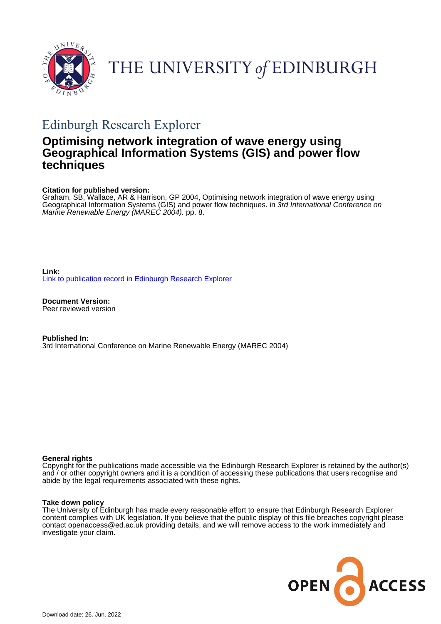



# Edinburgh Research Explorer

# **Optimising network integration of wave energy using Geographical Information Systems (GIS) and power flow techniques**

# **Citation for published version:**

Graham, SB, Wallace, AR & Harrison, GP 2004, Optimising network integration of wave energy using Geographical Information Systems (GIS) and power flow techniques. in 3rd International Conference on Marine Renewable Energy (MAREC 2004). pp. 8.

**Link:** [Link to publication record in Edinburgh Research Explorer](https://www.research.ed.ac.uk/en/publications/ad3a0c91-0e60-4aea-b258-537318e78adb)

**Document Version:** Peer reviewed version

**Published In:** 3rd International Conference on Marine Renewable Energy (MAREC 2004)

# **General rights**

Copyright for the publications made accessible via the Edinburgh Research Explorer is retained by the author(s) and / or other copyright owners and it is a condition of accessing these publications that users recognise and abide by the legal requirements associated with these rights.

# **Take down policy**

The University of Edinburgh has made every reasonable effort to ensure that Edinburgh Research Explorer content complies with UK legislation. If you believe that the public display of this file breaches copyright please contact openaccess@ed.ac.uk providing details, and we will remove access to the work immediately and investigate your claim.

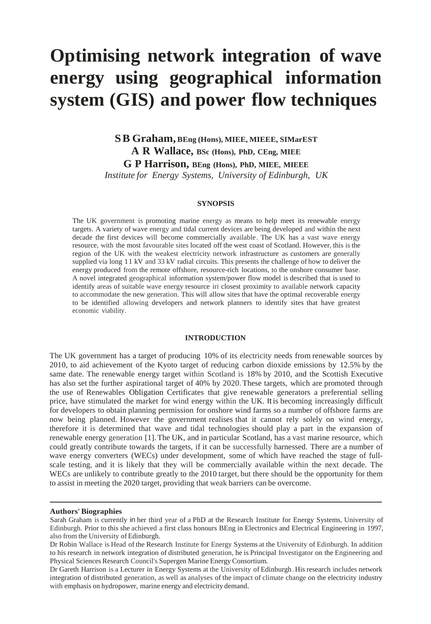# **Optimising network integration of wave energy using geographical information system (GIS) and power flow techniques**

**S B Graham, BEng (Hons), MIEE, MIEEE, SIMarEST A R Wallace, BSc (Hons), PhD, CEng, MIEE G P Harrison, BEng (Hons), PhD, MIEE, MIEEE** *Institute for Energy Systems, University of Edinburgh, UK*

## **SYNOPSIS**

The UK government is promoting marine energy as means to help meet its renewable energy targets. A variety of wave energy and tidal current devices are being developed and within the next decade the first devices will become commercially available . The UK has a vast wave energy resource, with the most favourable sites located off the west coast of Scotland. However, this is the region of the UK with the weakest electricity network infrastructure as customers are generally supplied via long 1 1 kV and 33 kV radial circuits. This presents the challenge of how to deliver the energy produced from the remote offshore, resource-rich locations, to the onshore consumer base. A novel integrated geographical information system/power flow model is described that is used to identify areas of suitable wave energy resource iri closest proximity to available network capacity to accommodate the new generation. This will allow sites that have the optimal recoverable energy to be identified allowing developers and network planners to identify sites that have greatest economic viability.

# **INTRODUCTION**

The UK government has a target of producing 10% of its electricity needs from renewable sources by 2010, to aid achievement of the Kyoto target of reducing carbon dioxide emissions by 12.5% by the same date. The renewable energy target within Scotland is 18% by 2010, and the Scottish Executive has also set the further aspirational target of 40% by 2020. These targets, which are promoted through the use of Renewables Obligation Certificates that give renewable generators a preferential selling price, have stimulated the market for wind energy within the UK. It is becoming increasingly difficult for developers to obtain planning permission for onshore wind farms so a number of offshore farms are now being planned. However the government realises that it cannot rely solely on wind energy, therefore it is determined that wave and tidal technologies should play a part in the expansion of renewable energy generation [1]. The UK, and in particular Scotland, has a vast marine resource, which could greatly contribute towards the targets, if it can be successfully harnessed. There are a number of wave energy converters (WECs) under development, some of which have reached the stage of fullscale testing, and it is likely that they will be commercially available within the next decade. The WECs are unlikely to contribute greatly to the 2010 target, but there should be the opportunity for them to assist in meeting the 2020 target, providing that weak barriers can be overcome.

#### **Authors' Biographies**

Sarah Graham is currently in her third year of a PhD at the Research Institute for Energy Systems, University of Edinburgh. Prior to this she achieved a first class honours BEng in Electronics and Electrical Engineering in 1997, also from the University of Edinburgh.

Dr Robin Wallace is Head of the Research Institute for Energy Systems at the University of Edinburgh. In addition to his research in network integration of distributed generation, he is Principal Investigator on the Engineering and Physical Sciences Research Council's Supergen Marine Energy Consortium.

Dr Gareth Harrison is a Lecturer in Energy Systems at the University of Edinburgh . His research includes network integration of distributed generation, as well as analyses of the impact of climate change on the electricity industry with emphasis on hydropower, marine energy and electricity demand.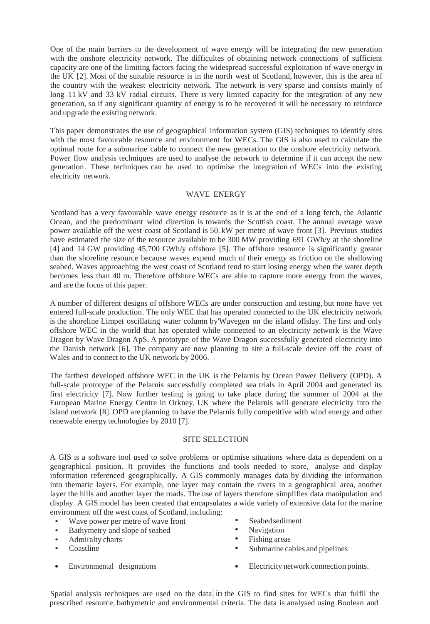One of the main barriers to the development of wave energy will be integrating the new generation with the onshore electricity network. The difficultes of obtaining network connections of sufficient capacity are one of the limiting factors facing the widespread successful exploitation of wave energy in the UK [2]. Most of the suitable resource is in the north west of Scotland, however, this is the area of the country with the weakest electricity network. The network is very sparse and consists mainly of long 11 kV and 33 kV radial circuits. There is very limited capacity for the integration of any new generation, so if any significant quantity of energy is to be recovered it will be necessary to reinforce and upgrade the existing network.

This paper demonstrates the use of geographical information system (GIS) techniques to identify sites with the most favourable resource and environment for WECs. The GIS is also used to calculate the optimal route for a submarine cable to connect the new generation to the onshore electricity network. Power flow analysis techniques are used to analyse the network to determine if it can accept the new generation . These techniques can be used to optimise the integration of WECs into the existing electricity network.

# WAVE ENERGY

Scotland has a very favourable wave energy resource as it is at the end of a long fetch, the Atlantic Ocean, and the predominant wind direction is towards the Scottish coast. The annual average wave power available off the west coast of Scotland is 50. kW per metre of wave front [3]. Previous studies have estimated the size of the resource available to be 300 MW providing 691 GWh/y at the shoreline [4] and 14 GW providing 45,700 GWh/y offshore [5]. The offshore resource is significantly greater than the shoreline resource because waves expend much of their energy as friction on the shallowing seabed. Waves approaching the west coast of Scotland tend to start losing energy when the water depth becomes less than 40 m. Therefore offshore WECs are able to capture more energy from the waves, and are the focus of this paper.

A number of different designs of offshore WECs are under construction and testing, but none have yet entered full-scale production . The only WEC that has operated connected to the UK electricity network is the shoreline Limpet oscillating water column by'Wavegen on the island oflslay. The first and only offshore WEC in the world that has operated while connected to an electricity network is the Wave Dragon by Wave Dragon ApS. A prototype of the Wave Dragon successfully generated electricity into the Danish network [6]. The company are now planning to site a full-scale device off the coast of Wales and to connect to the UK network by 2006.

The farthest developed offshore WEC in the UK is the Pelarnis by Ocean Power Delivery (OPD). A full-scale prototype of the Pelarnis successfully completed sea trials in April 2004 and generated its first electricity [7]. Now further testing is going to take place during the summer of 2004 at the European Marine Energy Centre in Orkney, UK where the Pelarnis will generate electricity into the island network [8]. OPD are planning to have the Pelarnis fully competitive with wind energy and other renewable energy technologies by 2010 [7].

# SITE SELECTION

A GIS is a software tool used to solve problems or optimise situations where data is dependent on a geographical position. It provides the functions and tools needed to store, analyse and display information referenced geographically. A GIS commonly manages data by dividing the information into thematic layers. For example, one layer may contain the rivers in a geographical area, another layer the hills and another layer the roads. The use of layers therefore simplifies data manipulation and display. A GIS model has been created that encapsulates a wide variety of extensive data for the marine environment off the west coast of Scotland, including:

- Wave power per metre of wave front
- Bathymetry and slope of seabed
- Admiralty charts
- Coastline
- 
- Seabed sediment<br>• Navigation
- Navigation<br>• Fishing area
- Fishing areas
- Submarine cables and pipelines
- Environmental designations Electricity network connection points.

Spatial analysis techniques are used on the data. in the GIS to find sites for WECs that fulfil the prescribed resource, bathymetric and environmental criteria. The data is analysed using Boolean and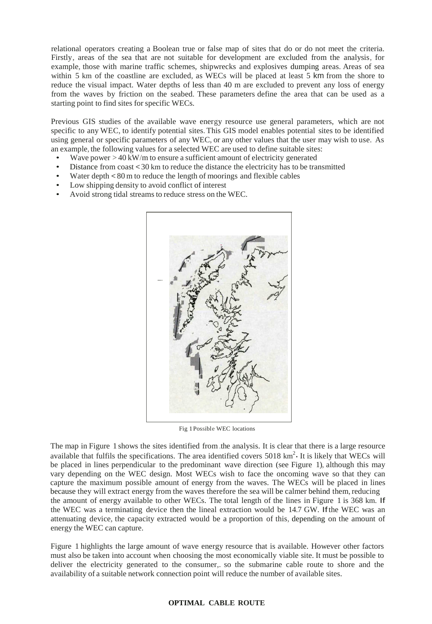relational operators creating a Boolean true or false map of sites that do or do not meet the criteria. Firstly, areas of the sea that are not suitable for development are excluded from the analysis, for example, those with marine traffic schemes, shipwrecks and explosives dumping areas. Areas of sea within 5 km of the coastline are excluded, as WECs will be placed at least 5 km from the shore to reduce the visual impact. Water depths of less than 40 m are excluded to prevent any loss of energy from the waves by friction on the seabed. These parameters define the area that can be used as a starting point to find sites for specific WECs.

Previous GIS studies of the available wave energy resource use general parameters, which are not specific to any WEC, to identify potential sites. This GIS model enables potential sites to be identified using general or specific parameters of any WEC, or any other values that the user may wish to use. As an example, the following values for a selected WEC are used to define suitable sites:

- Wave power  $> 40$  kW/m to ensure a sufficient amount of electricity generated
- Distance from coast < 30 km to reduce the distance the electricity has to be transmitted
- Water depth < 80 m to reduce the length of moorings and flexible cables
- Low shipping density to avoid conflict of interest
- Avoid strong tidal streams to reduce stress on the WEC.



Fig 1 Possible WEC locations

The map in Figure 1 shows the sites identified from.the analysis. It is clear that there is a large resource available that fulfils the specifications. The area identified covers  $5018 \text{ km}^2$ . It is likely that WECs will be placed in lines perpendicular to the predominant wave direction (see Figure 1), although this may vary depending on the WEC design. Most WECs wish to face the oncoming wave so that they can capture the maximum possible amount of energy from the waves. The WECs will be placed in lines because they will extract energy from the waves therefore the sea will be calmer behind them, reducing the amount of energy available to other WECs. The total length of the lines in Figure 1 is 368 km. If the WEC was a terminating device then the lineal extraction would be 14.7 GW. If the WEC was an attenuating device, the capacity extracted would be a proportion of this, depending on the amount of energy the WEC can capture.

Figure 1 highlights the large amount of wave energy resource that is available. However other factors must also be taken into account when choosing the most economically viable site. It must be possible to deliver the electricity generated to the consumer,. so the submarine cable route to shore and the availability of a suitable network connection point will reduce the number of available sites.

#### **OPTIMAL CABLE ROUTE**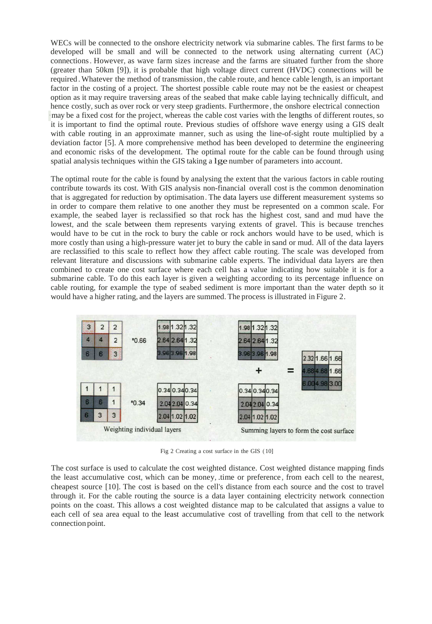WECs will be connected to the onshore electricity network via submarine cables. The first farms to be developed will be small and will be connected to the network using alternating current (AC) connections. However, as wave farm sizes increase and the farms are situated further from the shore (greater than 50km [9]), it is probable that high voltage direct current (HVDC) connections will be required . Whatever the method of transmission , the cable route, and hence cable length, is an important factor in the costing of a project. The shortest possible cable route may not be the easiest or cheapest option as it may require traversing areas of the seabed that make cable laying technically difficult, and hence costly, such as over rock or very steep gradients. Furthermore, the onshore electrical connection may be a fixed cost for the project, whereas the cable cost varies with the lengths of different routes, so it is important to find the optimal route. Previous studies of offshore wave energy using a GIS dealt with cable routing in an approximate manner, such as using the line-of-sight route multiplied by a deviation factor [5]. A more comprehensive method has been developed to determine the engineering and economic risks of the development. The optimal route for the cable can be found through using spatial analysis techniques within the GIS taking a lge number of parameters into account.

The optimal route for the cable is found by analysing the extent that the various factors in cable routing contribute towards its cost. With GIS analysis non-financial overall cost is the common denomination that is aggregated for reduction by optimisation. The data layers use different measurement systems so in order to compare them relative to one another they must be represented on a common scale. For example, the seabed layer is reclassified so that rock has the highest cost, sand and mud have the lowest, and the scale between them represents varying extents of gravel. This is because trenches would have to be cut in the rock to bury the cable or rock anchors would have to be used, which is more costly than using a high-pressure water jet to bury the cable in sand or mud. All of the data layers are reclassified to this scale to reflect how they affect cable routing. The scale was developed from relevant literature and discussions with submarine cable experts. The individual data layers are then combined to create one cost surface where each cell has a value indicating how suitable it is for a submarine cable. To do this each layer is given a weighting according to its percentage influence on cable routing, for example the type of seabed sediment is more important than the water depth so it would have a higher rating, and the layers are summed. The process is illustrated in Figure 2.



Fig 2 Creating a cost surface in the GIS ( 10]

The cost surface is used to calculate the cost weighted distance. Cost weighted distance mapping finds the least accumulative cost, which can be money, .time or preference , from each cell to the nearest, cheapest source [10]. The cost is based on the cell's distance from each source and the cost to travel through it. For the cable routing the source is a data layer containing electricity network connection points on the coast. This allows a cost weighted distance map to be calculated that assigns a value to each cell of sea area equal to the least accumulative cost of travelling from that cell to the network connection point.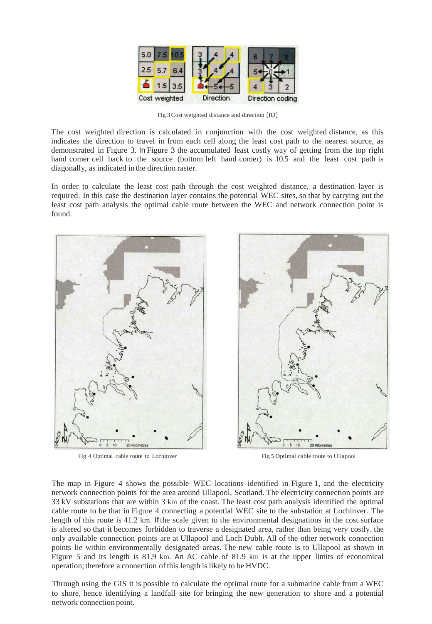

Fig 3 Cost weighted distance and direction [IO]

The cost weighted direction is calculated in conjunction with the cost weighted distance, as this indicates the direction to travel in from each cell along the least cost path to the nearest source, as demonstrated in Figure 3. In Figure 3 the accumulated least costly way of getting from the top right hand comer cell back to the source (bottom left hand comer) is 10.5 and the least cost path is diagonally, as indicated in the direction raster.

In order to calculate the least cost path through the cost weighted distance, a destination layer is required. In this case the destination layer contains the potential WEC sites, so that by carrying out the least cost path analysis the optimal cable route between the WEC and network connection point is found.



Fig 4 Optimal cable route to Lochinver Fig 5 Optimal cable route to Ullapool



The map in Figure 4 shows the possible WEC locations identified in Figure 1, and the electricity network connection points for the area around Ullapool, Scotland. The electricity connection points are 33 kV substations that are within 3 km of the coast. The least cost path analysis identified the optimal cable route to be that in Figure 4 connecting a potential WEC site to the substation at Lochinver. The length of this route is 41.2 km. If the scale given to the environmental designations in the cost surface is altered so that it becomes forbidden to traverse a designated area, rather than being very costly, the only available connection points are at Ullapool and Loch Dubh. All of the other network connection points lie within environmentally designated areas. The new cable route is to Ullapool as shown in Figure 5 and its length is 81.9 km. An AC cable. of 81.9 km is at the upper limits of economical operation; therefore a connection of this length is likely to be HVDC.

Through using the GIS it is possible to calculate the optimal route for a submarine cable from a WEC to shore, hence identifying a landfall site for bringing the new generation to shore and a potential network connection point.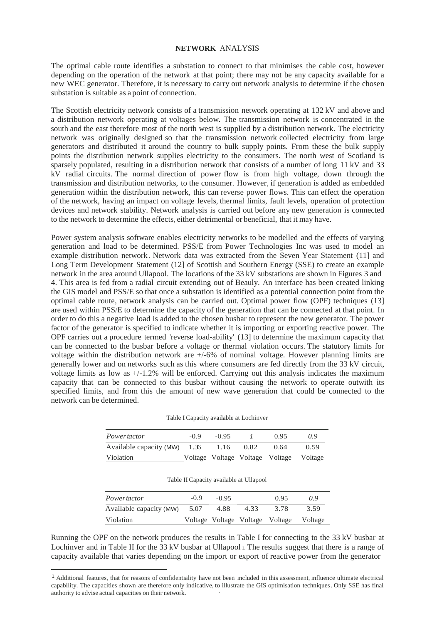# **NETWORK** ANALYSIS

The optimal cable route identifies a substation to connect to that minimises the cable cost, however depending on the operation of the network at that point; there may not be any capacity available for a new WEC generator. Therefore, it is necessary to carry out network analysis to determine if the chosen substation is suitable as a point of connection.

The Scottish electricity network consists of a transmission network operating at 132 kV and above and a distribution network operating at voltages below. The transmission network is concentrated in the south and the east therefore most of the north west is supplied by a distribution network. The electricity network was originally designed so that the transmission network collected electricity from large generators and distributed it around the country to bulk supply points. From these the bulk supply points the distribution network supplies electricity to the consumers. The north west of Scotland is sparsely populated, resulting in a distribution network that consists of a number of long 11 kV and 33 kV radial circuits. The normal direction of power flow is from high voltage, down through the transmission and distribution networks, to the consumer. However, if generation is added as embedded generation within the distribution network, this can reverse power flows. This can effect the operation of the network, having an impact on voltage levels, thermal limits, fault levels, operation of protection devices and network stability. Network analysis is carried out before any new generation is connected to the network to determine the effects, either detrimental or beneficial, that it may have.

Power system analysis software enables electricity networks to be modelled and the effects of varying generation and load to be determined. PSS/E from Power Technologies Inc was used to model an example distribution network . Network data was extracted from the Seven Year Statement (11] and Long Term Development Statement (12] of Scottish and Southern Energy (SSE) to create an example network in the area around Ullapool. The locations of the 33 kV substations are shown in Figures 3 and 4. This area is fed from a radial circuit extending out of Beauly. An interface has been created linking the GIS model and PSS/E so that once a substation is identified as a potential connection point from the optimal cable route, network analysis can be carried out. Optimal power flow (OPF) techniques (13] are used within PSS/E to determine the capacity of the generation that can be connected at that point. In order to do this a negative load is added to the chosen busbar to represent the new generator. The power factor of the generator is specified to indicate whether it is importing or exporting reactive power. The OPF carries out a procedure termed 'reverse load-ability' (13] to determine the maximum capacity that can be connected to the busbar before a voltage or thermal violation occurs. The statutory limits for voltage within the distribution network are +/-6% of nominal voltage. However planning limits are generally lower and on networks such as this where consumers are fed directly from the 33 kV circuit, voltage limits as low as  $+/-1.2\%$  will be enforced. Carrying out this analysis indicates the maximum capacity that can be connected to this busbar without causing the network to operate outwith its specified limits, and from this the amount of new wave generation that could be connected to the network can be determined.

#### Table I Capacity available at Lochinver

| <i>Powertactor</i>             | $-0.9$ | $-0.95$ |      | 0.95                            | 0.9     |
|--------------------------------|--------|---------|------|---------------------------------|---------|
| Available capacity (MW) $1.36$ |        | 1.16    | 0.82 | 0.64                            | 0.59    |
| Violation                      |        |         |      | Voltage Voltage Voltage Voltage | Voltage |

#### Table II Capacity available at Ullapool

| Powertactor             | $-0.9$ | $-0.95$ |                                 | 0.95 | 0.9     |
|-------------------------|--------|---------|---------------------------------|------|---------|
| Available capacity (MW) | 5.07   | 4.88    | 4.33                            | 3.78 | 3.59    |
| Violation               |        |         | Voltage Voltage Voltage Voltage |      | Voltage |

Running the OPF on the network produces the results in Table I for connecting to the 33 kV busbar at Lochinver and in Table II for the 33 kV busbar at Ullapool 1. The results suggest that there is a range of capacity available that varies depending on the import or export of reactive power from the generator

<sup>1</sup>Additional features, that for reasons of confidentiality have not been included in this assessment, influence ultimate electrical capability. The capacities shown are therefore only indicative, to illustrate the GIS optimisation techniques . Only SSE has final authority to advise actual capacities on their network.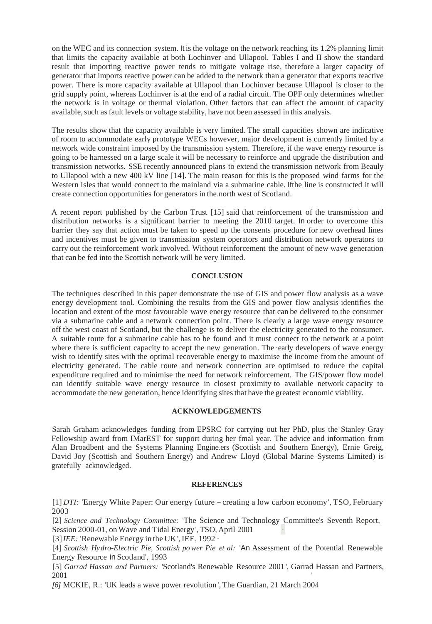on the WEC and its connection system. It is the voltage on the network reaching its 1.2% planning limit that limits the capacity available at both Lochinver and Ullapool. Tables I and II show the standard result that importing reactive power tends to mitigate voltage rise, therefore a larger capacity of generator that imports reactive power can be added to the network than a generator that exports reactive power. There is more capacity available at Ullapool than Lochinver because Ullapool is closer to the grid supply point, whereas Lochinver is at the end of a radial circuit. The OPF only determines whether the network is in voltage or thermal violation. Other factors that can affect the amount of capacity available, such as fault levels or voltage stability, have not been assessed in this analysis.

The results show that the capacity available is very limited. The small capacities shown are indicative of room to accommodate early prototype WECs however, major development is currently limited by a network wide constraint imposed by the transmission system. Therefore, if the wave energy resource is going to be harnessed on a large scale it will be necessary to reinforce and upgrade the distribution and transmission networks. SSE recently announced plans to extend the transmission network from Beauly to Ullapool with a new 400 kV line [14]. The main reason for this is the proposed wind farms for the Western Isles that would connect to the mainland via a submarine cable. Ifthe line is constructed it will create connection opportunities for generators in the.north west of Scotland.

A recent report published by the Carbon Trust [15] said that reinforcement of the transmission and distribution networks is a significant barrier to meeting the 2010 target. In order to overcome this barrier they say that action must be taken to speed up the consents procedure for new overhead lines and incentives must be given to transmission system operators and distribution network operators to carry out the reinforcement work involved. Without reinforcement the amount of new wave generation that can be fed into the Scottish network will be very limited.

# **CONCLUSION**

The techniques described in this paper demonstrate the use of GIS and power flow analysis as a wave energy development tool. Combining the results from the GIS and power flow analysis identifies the location and extent of the most favourable wave energy resource that can be delivered to the consumer via a submarine cable and a network connection point. There is clearly a large wave energy resource off the west coast of Scotland, but the challenge is to deliver the electricity generated to the consumer. A suitable route for a submarine cable has to be found and it must connect to the network at a point where there is sufficient capacity to accept the new generation. The early developers of wave energy wish to identify sites with the optimal recoverable energy to maximise the income from the amount of electricity generated. The cable route and network connection are optimised to reduce the capital expenditure required and to minimise the need for network reinforcement. The GIS/power flow model can identify suitable wave energy resource in closest proximity to available network capacity to accommodate the new generation, hence identifying sites that have the greatest economic viability.

# **ACKNOWLEDGEMENTS**

Sarah Graham acknowledges funding from EPSRC for carrying out her PhD, plus the Stanley Gray Fellowship award from IMarEST for support during her fmal year. The advice and information from Alan Broadbent and the Systems Planning Engine.ers (Scottish and Southern Energy), Ernie Greig, David Joy (Scottish and Southern Energy) and Andrew Lloyd (Global Marine Systems Limited) is gratefully acknowledged.

### **REFERENCES**

[1] *DTI:* 'Energy White Paper: Our energy future - creating a low carbon economy ', TSO, February 2003

[2] *Science and Technology Committee:* 'The Science and Technology Committee's Seventh Report, Session 2000-01, on Wave and Tidal Energy', TSO, April 2001

[3] *IEE:* 'Renewable Energy in the UK ', IEE, 1992 ·

[4] *Scottish Hydro-Electric Pie, Scottish po wer Pie et al:* 'An Assessment of the Potential Renewable Energy Resource in Scotland', 1993

[5] *Garrad Hassan and Partners:* 'Scotland's Renewable Resource 2001 ', Garrad Hassan and Partners, 2001 '

[6] MCKIE, R.: 'UK leads a wave power revolution ', The Guardian, 21 March 2004